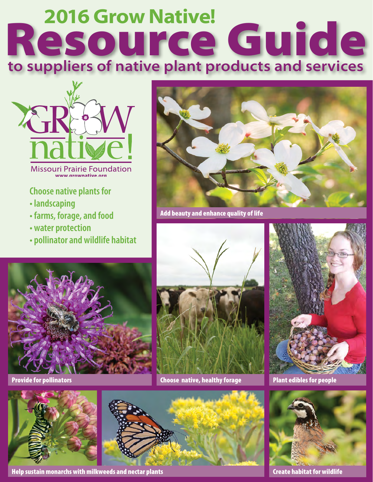# **Resource Guide to suppliers of native plant products and services**



**Missouri Prairie Foundation** www.arownative.org

#### **Choose native plants for**

- **landscaping**
- **farms, forage, and food**
- **water protection**
- **pollinator and wildlife habitat**



Add beauty and enhance quality of life



Provide for pollinators





Help sustain monarchs with milkweeds and nectar plants



Choose native, healthy forage Plant edibles for people



Create habitat for wildlife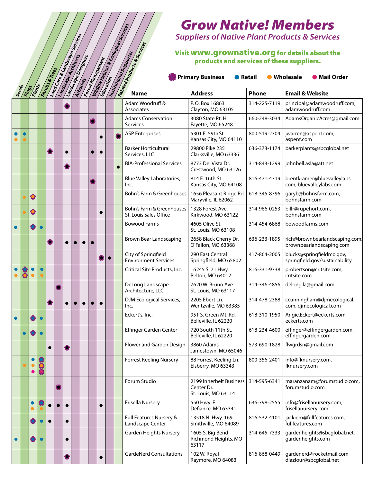## **Name of the Unite State of the Section 2008**<br> **Phone Phone Address**<br> **Address**<br> **Phone Email & Website**<br> **Address**<br> **Phone Email & Website** Visit www.grownative.org for details about the products and services of these suppliers.

|           | Forest Hanagement<br>Land Care & Lands Cope Services<br>Reatable Products & Services<br>Institutional Suprovisor<br>Lamdscape Designers<br>Shrubs & Trees |                        |           |           |  |           |  |  |  |           |           |           |                                                      | <i><b>Grow Nativel Members</b></i><br><b>Suppliers of Native Plant Products &amp; Services</b><br>Visit WWW.grownative.org for details about the<br>products and services of these suppliers.<br><b>Primary Business</b><br>● Retail<br>● Wholesale<br><b>O</b> Mail Order |              |                                                             |  |
|-----------|-----------------------------------------------------------------------------------------------------------------------------------------------------------|------------------------|-----------|-----------|--|-----------|--|--|--|-----------|-----------|-----------|------------------------------------------------------|----------------------------------------------------------------------------------------------------------------------------------------------------------------------------------------------------------------------------------------------------------------------------|--------------|-------------------------------------------------------------|--|
| Seeds     | Plugs                                                                                                                                                     | Plants                 |           |           |  |           |  |  |  |           |           |           |                                                      | <b>Address</b>                                                                                                                                                                                                                                                             | Phone        | <b>Email &amp; Website</b>                                  |  |
|           |                                                                                                                                                           |                        |           |           |  |           |  |  |  |           |           |           | Adam Woodruff &<br><b>Associates</b>                 | P.O. Box 16863<br>Clayton, MO 63105                                                                                                                                                                                                                                        | 314-225-7119 | principal@adamwoodruff.com,<br>adamwoodruff.com             |  |
|           |                                                                                                                                                           |                        |           |           |  |           |  |  |  |           |           |           | <b>Adams Conservation</b><br><b>Services</b>         | 3080 State Rt. H<br>Fayette, MO 65248                                                                                                                                                                                                                                      | 660-248-3034 | AdamsOrganicAcres@gmail.com                                 |  |
|           |                                                                                                                                                           |                        |           |           |  |           |  |  |  |           |           |           | <b>ASP Enterprises</b>                               | 5301 E. 59th St.<br>Kansas City, MO 64110                                                                                                                                                                                                                                  | 800-519-2304 | jwarren@aspent.com,<br>aspent.com                           |  |
|           |                                                                                                                                                           |                        |           | O         |  | $\bullet$ |  |  |  | $\bullet$ |           |           | <b>Barker Horticultural</b><br>Services, LLC         | 29800 Pike 235<br>Clarksville, MO 63336                                                                                                                                                                                                                                    | 636-373-1174 | barkerplants@sbcglobal.net                                  |  |
|           |                                                                                                                                                           |                        |           |           |  | P.        |  |  |  |           |           | $\bullet$ | <b>BIA-Professional Services</b>                     | 8773 Del Vista Dr.<br>Crestwood, MO 63126                                                                                                                                                                                                                                  | 314-843-1299 | johnbell.asla@att.net                                       |  |
|           |                                                                                                                                                           |                        |           |           |  |           |  |  |  |           |           |           | Blue Valley Laboratories,<br>Inc.                    | 814 E. 16th St.<br>Kansas City, MO 64108                                                                                                                                                                                                                                   | 816-471-4719 | brentkramer@bluevalleylabs.<br>com, bluevalleylabs.com      |  |
|           |                                                                                                                                                           | 0                      |           |           |  |           |  |  |  |           |           |           | Bohn's Farm & Greenhouses                            | 1656 Pleasant Ridge Rd.<br>Maryville, IL 62062                                                                                                                                                                                                                             | 618-345-8796 | garyb@bohnsfarm.com,<br>bohnsfarm.com                       |  |
|           |                                                                                                                                                           | $\ddot{\bullet}$       |           |           |  |           |  |  |  |           |           |           | Bohn's Farm & Greenhouses-<br>St. Louis Sales Office | 1328 Forest Ave.<br>Kirkwood, MO 63122                                                                                                                                                                                                                                     | 314-966-0253 | billr@rupehort.com,<br>bohnsfarm.com                        |  |
| $\bullet$ |                                                                                                                                                           |                        |           |           |  |           |  |  |  |           |           |           | <b>Bowood Farms</b>                                  | 4605 Olive St.<br>St. Louis, MO 63108                                                                                                                                                                                                                                      | 314-454-6868 | bowoodfarms.com                                             |  |
|           |                                                                                                                                                           |                        |           | 총         |  |           |  |  |  |           |           |           | <b>Brown Bear Landscaping</b>                        | 2658 Black Cherry Dr.<br>O'Fallon, MO 63368                                                                                                                                                                                                                                | 636-233-1895 | rich@brownbearlandscaping.com,<br>brownbearlandscaping.com  |  |
|           |                                                                                                                                                           |                        |           |           |  |           |  |  |  |           | $\bullet$ |           | City of Springfield<br><b>Environment Services</b>   | 290 East Central<br>Springfield, MO 65802                                                                                                                                                                                                                                  | 417-864-2005 | blucks@springfieldmo.gov,<br>springfield.gov/sustainability |  |
|           | ŏ                                                                                                                                                         | $\bullet$              | $\bullet$ |           |  |           |  |  |  |           |           |           | Critical Site Products, Inc.                         | 16245 S. 71 Hwy.<br>Belton, MO 64012                                                                                                                                                                                                                                       | 816-331-9738 | probertson@critsite.com,<br>critsite.com                    |  |
|           |                                                                                                                                                           |                        |           |           |  |           |  |  |  |           |           |           | DeLong Landscape<br>Architecture, LLC                | 7620 W. Bruno Ave.<br>St. Louis, MO 63117                                                                                                                                                                                                                                  | 314-346-4856 | delong.la@gmail.com                                         |  |
|           |                                                                                                                                                           |                        |           |           |  |           |  |  |  |           |           |           | DJM Ecological Services,<br>Inc.                     | 2205 Ebert Ln.<br>Wentzville, MO 63385                                                                                                                                                                                                                                     | 314-478-2388 | ccunningham@djmecological.<br>com, djmecological.com        |  |
| $\bullet$ |                                                                                                                                                           |                        |           |           |  |           |  |  |  |           |           |           | Eckert's, Inc.                                       | 951 S. Green Mt. Rd.<br>Belleville, IL 62220                                                                                                                                                                                                                               | 618-310-1950 | Angie.Eckert@eckerts.com,<br>eckerts.com                    |  |
|           |                                                                                                                                                           |                        |           |           |  |           |  |  |  |           |           |           | Effinger Garden Center                               | 720 South 11th St.<br>Belleville, IL 62220                                                                                                                                                                                                                                 | 618-234-4600 | effinger@effingergarden.com,<br>effingergarden.com          |  |
|           |                                                                                                                                                           |                        |           | $\bullet$ |  | 卷         |  |  |  |           |           |           | Flower and Garden Design                             | 3860 Adams<br>Jamestown, MO 65046                                                                                                                                                                                                                                          | 573-690-1828 | flwgrdsn@gmail.com                                          |  |
|           |                                                                                                                                                           | $\bullet$<br>$\bullet$ |           |           |  |           |  |  |  |           |           |           | <b>Forrest Keeling Nursery</b>                       | 88 Forrest Keeling Ln.<br>Elsberry, MO 63343                                                                                                                                                                                                                               | 800-356-2401 | info@fknursery.com,<br>fknursery.com                        |  |
|           |                                                                                                                                                           |                        |           |           |  |           |  |  |  |           |           |           | Forum Studio                                         | 2199 Innerbelt Business<br>Center Dr.<br>St. Louis, MO 63114                                                                                                                                                                                                               | 314-595-6341 | maranzanam@forumstudio.com,<br>forumstudio.com              |  |
|           |                                                                                                                                                           | $\bullet$              |           |           |  |           |  |  |  |           |           |           | Frisella Nursery                                     | 550 Hwy. F<br>Defiance, MO 63341                                                                                                                                                                                                                                           | 636-798-2555 | info@frisellanursery.com,<br>frisellanursery.com            |  |
|           |                                                                                                                                                           |                        |           | $\bullet$ |  | $\bullet$ |  |  |  |           |           |           | Full Features Nursery &<br>Landscape Center          | 13518 N. Hwy. 169<br>Smithville, MO 64089                                                                                                                                                                                                                                  | 816-532-4101 | jackiem@fullfeatures.com,<br>fullfeatures.com               |  |
| $\bullet$ |                                                                                                                                                           |                        |           |           |  | $\bullet$ |  |  |  |           |           |           | <b>Garden Heights Nursery</b>                        | 1605 S. Big Bend<br>Richmond Heights, MO<br>63117                                                                                                                                                                                                                          | 314-645-7333 | gardenheights@sbcglobal.net,<br>gardenheights.com           |  |
|           |                                                                                                                                                           |                        |           |           |  | Р.        |  |  |  |           |           |           | <b>GardeNerd Consultations</b>                       | 102 W. Royal<br>Raymore, MO 64083                                                                                                                                                                                                                                          | 816-868-0449 | gardenerd@rocketmail.com,<br>diazfour@sbcglobal.net         |  |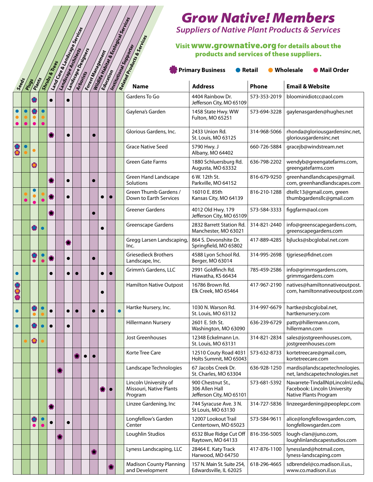#### Visit **www.grownative.org** for details about the products and services of these suppliers.

|           |       |        |                |                                |           |                     |                   |           |                                                             | Grow Nativel Memoers<br><b>Suppliers of Native Plant Products &amp; Services</b>            |              |                                                                                           |
|-----------|-------|--------|----------------|--------------------------------|-----------|---------------------|-------------------|-----------|-------------------------------------------------------------|---------------------------------------------------------------------------------------------|--------------|-------------------------------------------------------------------------------------------|
|           |       |        |                | Lamd Cape & Lamdscape Services |           |                     | Forest Management |           | Redited Products & Services                                 |                                                                                             |              |                                                                                           |
|           |       |        |                |                                |           | Lamdscape Designers |                   |           | Institutional Supporter                                     | Visit WWW.grownative.org for details about the<br>products and services of these suppliers. |              |                                                                                           |
|           |       |        |                |                                |           |                     |                   |           |                                                             |                                                                                             |              |                                                                                           |
|           |       |        | Shrubs & Trees |                                |           |                     |                   |           |                                                             | <b>Primary Business</b><br><b>•</b> Retail                                                  |              | ● Wholesale<br>● Mail Order                                                               |
| Seeds     | Plugs | Plants |                |                                |           |                     |                   |           |                                                             | <b>Address</b>                                                                              | <b>Phone</b> | <b>Email &amp; Website</b>                                                                |
|           |       |        | $\bullet$      |                                |           |                     |                   |           | Gardens To Go                                               | 4404 Rainbow Dr.<br>Jefferson City, MO 65109                                                | 573-353-2019 | bloominidiotcc@aol.com                                                                    |
|           |       |        |                |                                |           |                     |                   |           | Gaylena's Garden                                            | 1458 State Hwy. WW<br>Fulton, MO 65251                                                      | 573-694-3228 | gaylenasgarden@hughes.net                                                                 |
|           |       |        | p.             |                                | $\bullet$ |                     |                   |           | Glorious Gardens, Inc.                                      | 2433 Union Rd.<br>St. Louis, MO 63125                                                       | 314-968-5066 | rhonda@gloriousgardensinc.net,<br>gloriousgardensinc.net                                  |
|           |       |        |                |                                |           |                     |                   |           | <b>Grace Native Seed</b>                                    | 5790 Hwy. J<br>Albany, MO 64402                                                             | 660-726-5884 | gracejb@windstream.net                                                                    |
|           |       | 0      |                |                                |           |                     |                   |           | Green Gate Farms                                            | 1880 Schluersburg Rd.<br>Augusta, MO 63332                                                  | 636-798-2202 | wendyb@greengatefarms.com,<br>greengatefarms.com                                          |
|           |       |        | 叠              |                                | $\bullet$ |                     |                   |           | <b>Green Hand Landscape</b><br>Solutions                    | 6 W. 12th St.<br>Parkville, MO 64152                                                        | 816-679-9250 | greenhandlandscapes@gmail.<br>com, greenhandlandscapes.com                                |
|           |       |        |                |                                |           |                     |                   |           | Green Thumb Gardens /<br>Down to Earth Services             | 16010 E. 85th<br>Kansas City, MO 64139                                                      | 816-210-1288 | dtellc13@gmail.com, green<br>thumbgardensllc@gmail.com                                    |
|           |       |        | O              |                                |           |                     |                   |           | <b>Greener Gardens</b>                                      | 4012 Old Hwy. 179<br>Jefferson City, MO 65109                                               | 573-584-3333 | figgfarm@aol.com                                                                          |
|           |       |        |                |                                |           |                     | 6                 |           | Greenscape Gardens                                          | 2832 Barrett Station Rd.<br>Manchester, MO 63021                                            | 314-821-2440 | info@greenscapegardens.com,<br>greenscapegardens.com                                      |
|           |       |        |                |                                | 卷         |                     |                   |           | Gregg Larsen Landscaping,<br>Inc.                           | 864 S. Devonshite Dr.<br>Springfield, MO 65802                                              | 417-889-4285 | bjlucks@sbcglobal.net.com                                                                 |
|           |       | o<br>O | 卷              |                                | $\bullet$ |                     |                   |           | <b>Griesedieck Brothers</b><br>Landscape, Inc.              | 4588 Lyon School Rd.<br>Berger, MO 63014                                                    | 314-995-2698 | tjgriese@fidnet.com                                                                       |
| $\bullet$ |       |        | $\bullet$      |                                |           |                     |                   |           | Grimm's Gardens, LLC                                        | 2991 Goldfinch Rd.<br>Hiawatha, KS 66434                                                    | 785-459-2586 | info@grimmsgardens.com,<br>grimmsgardens.com                                              |
|           |       |        |                |                                |           |                     |                   |           | <b>Hamilton Native Outpost</b>                              | 16786 Brown Rd.<br>Elk Creek, MO 65464                                                      | 417-967-2190 | natives@hamiltonnativeoutpost.<br>com, hamiltonnativeoutpost.com                          |
| $\bullet$ |       |        |                |                                |           |                     |                   |           | Hartke Nursery, Inc.                                        | 1030 N. Warson Rd.<br>St. Louis, MO 63132                                                   | 314-997-6679 | hartke@sbcglobal.net,<br>hartkenursery.com                                                |
| $\bullet$ |       |        | $\bullet$      |                                | $\bullet$ |                     |                   |           | <b>Hillermann Nursery</b>                                   | 2601 E. 5th St.<br>Washington, MO 63090                                                     | 636-239-6729 | patty@hillermann.com,<br>hillermann.com                                                   |
|           |       | 0      |                |                                |           |                     |                   |           | Jost Greenhouses                                            | 12348 Eckelmann Ln.<br>St. Louis, MO 63131                                                  | 314-821-2834 | sales@jostgreenhouses.com,<br>jostgreenhouses.com                                         |
|           |       |        |                |                                |           |                     |                   |           | Korte Tree Care                                             | 12510 Couty Road 4031<br>Holts Summit, MO 65043                                             | 573-632-8733 | kortetreecare@gmail.com,<br>kortetreecare.com                                             |
|           |       |        |                |                                |           |                     |                   |           | Landscape Technologies                                      | 67 Jacobs Creek Dr.<br>St. Charles, MO 63304                                                | 636-928-1250 | mardis@landscapetechnologies.<br>net, landscapetechnologies.net                           |
|           |       |        |                |                                |           |                     |                   | $\bullet$ | Lincoln University of<br>Missouri, Native Plants<br>Program | 900 Chestnut St.,<br>306 Allen Hall<br>Jefferson City, MO 65101                             | 573-681-5392 | Navarrete-TindallN@LincolnU.edu,<br>Facebook: Lincoln University<br>Native Plants Program |
|           |       |        | 卷              |                                |           |                     |                   |           | Linzee Gardening, Inc                                       | 744 Syracuse Ave. 3 N.<br>St Louis, MO 63130                                                | 314-727-5836 | linzeegardening@peoplepc.com                                                              |
|           |       |        |                |                                | $\bullet$ |                     |                   |           | Longfellow's Garden<br>Center                               | 12007 Lookout Trail<br>Centertown, MO 65023                                                 | 573-584-9611 | alice@longfellowsgarden.com,<br>longfellowsgarden.com                                     |
|           |       |        |                |                                |           |                     |                   |           | Loughlin Studios                                            | 6532 Blue Ridge Cut Off<br>Raytown, MO 64133                                                | 816-356-5005 | lough-clan@juno.com,<br>loughlinlandscapestudios.com                                      |
|           |       |        |                |                                |           |                     |                   |           | Lyness Landscaping, LLC                                     | 28464 E. Katy Track<br>Harwood, MO 64750                                                    | 417-876-1100 | lynessland@hotmail.com,<br>lyness-landscaping.com                                         |
|           |       |        |                |                                |           |                     |                   |           | <b>Madison County Planning</b><br>and Development           | 157 N. Main St. Suite 254,<br>Edwardsville, IL 62025                                        | 618-296-4665 | sdbrendel@co.madison.il.us.,<br>www.co.madison.il.us                                      |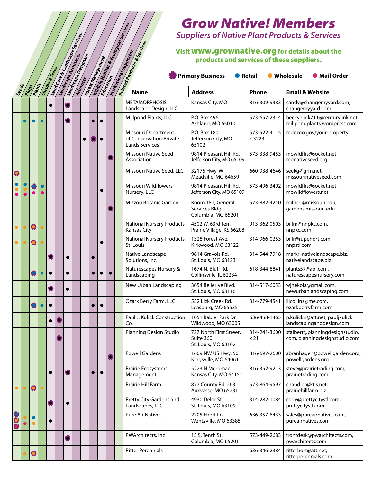|           |       |                 |           |                |    |                                   |                     |                   |  |                                                                                                  | Grow Nativel Memoers<br><b>Suppliers of Native Plant Products &amp; Services</b> |                                 |                                                                 |
|-----------|-------|-----------------|-----------|----------------|----|-----------------------------------|---------------------|-------------------|--|--------------------------------------------------------------------------------------------------|----------------------------------------------------------------------------------|---------------------------------|-----------------------------------------------------------------|
|           |       |                 |           |                |    |                                   |                     |                   |  |                                                                                                  | products and services of these suppliers.                                        |                                 | Visit WWW.grownative.org for details about the                  |
|           |       |                 |           | Shrubs & Trees |    | <b>Land Care at Amids Spirit.</b> | Lamdscape Designers | Forest Management |  | Wildlife Habitat & Ecological Services<br>Redated Products & Services<br>Institutional Supporter | <b>Primary Business</b><br><b>•</b> Retail                                       |                                 | <b>O</b> Mail Order<br>● Wholesale                              |
|           | Seeds | Plants<br>Plugs |           |                |    |                                   |                     |                   |  |                                                                                                  | <b>Address</b>                                                                   | <b>Phone</b>                    | <b>Email &amp; Website</b>                                      |
|           |       |                 |           | $\bullet$      |    |                                   |                     |                   |  | <b>METAMORPHOSIS</b><br>Landscape Design, LLC                                                    | Kansas City, MO                                                                  | 816-309-9383                    | candy@changemyyard.com,<br>changemyyard.com                     |
|           |       |                 | $\bullet$ |                |    | 卷                                 |                     |                   |  | Millpond Plants, LLC                                                                             | P.O. Box 496<br>Ashland, MO 65010                                                | 573-657-2314                    | beckyerick711@centurylink.net,<br>millpondplants.wordpress.com  |
|           |       |                 |           |                |    |                                   | 0                   |                   |  | Missouri Department<br>of Conservation-Private<br><b>Lands Services</b>                          | P.O. Box 180<br>Jefferson City, MO<br>65102                                      | 573-522-4115<br>x 3223          | mdc.mo.gov/your-property                                        |
|           |       |                 |           |                |    |                                   |                     |                   |  | Missouri Native Seed<br>Association                                                              | 9814 Pleasant Hill Rd.<br>Jefferson City, MO 65109                               | 573-338-9453                    | mowldflrs@socket.net,<br>monativeseed.org                       |
| 0         |       |                 |           |                |    |                                   |                     |                   |  | Missouri Native Seed, LLC                                                                        | 32175 Hwy. W<br>Meadville, MO 64659                                              | 660-938-4646                    | seekg@grm.net,<br>missourinativeseed.com                        |
|           |       |                 |           |                |    |                                   |                     |                   |  | Missouri Wildflowers<br>Nursery, LLC                                                             | 9814 Pleasant Hill Rd.<br>Jefferson City, MO 65109                               | 573-496-3492                    | mowldflrs@socket.net,<br>mowildflowers.net                      |
|           |       |                 |           |                |    |                                   |                     |                   |  | Mizzou Botanic Garden                                                                            | Room 181, General<br>Services Bldg.<br>Columbia, MO 65201                        | 573-882-4240                    | millierr@missouri.edu,<br>gardens.missouri.edu                  |
|           |       | $\bullet$       |           |                |    |                                   |                     |                   |  | <b>National Nursery Products-</b><br>Kansas City                                                 | 4502 W. 63rd Terr.<br>Prairie Village, KS 66208                                  | 913-362-0503                    | billm@nnpkc.com,<br>nnpkc.com                                   |
| $\bullet$ |       | $\bullet$       |           |                |    |                                   |                     | $\bullet$         |  | <b>National Nursery Products-</b><br>St. Louis                                                   | 1328 Forest Ave.<br>Kirkwood, MO 63122                                           | 314-966-0253                    | billr@rupehort.com,<br>nnpstl.com                               |
|           |       |                 |           | Ø              |    | $\bullet$                         |                     |                   |  | Native Landscape<br>Solutions, Inc.                                                              | 9814 Gravois Rd.<br>St. Louis, MO 63123                                          | 314-544-7918                    | mark@nativelandscape.biz,<br>nativelandscape.biz                |
|           |       |                 |           | $\bullet$      |    | $\bullet$                         |                     |                   |  | Naturescapes Nursery &<br>Landscaping                                                            | 1674 N. Bluff Rd.<br>Collinsville, IL 62234                                      | 618-344-8841                    | plants57@aol.com,<br>naturescapesnursery.com                    |
|           |       |                 |           |                |    | $\bullet$                         |                     |                   |  | New Urban Landscaping                                                                            | 3654 Bellerive Blvd.<br>St. Louis, MO 63116                                      | 314-517-6053                    | wjnekola@gmail.com,<br>newurbanlandscaping.com                  |
|           |       |                 |           | $\bullet$      |    |                                   |                     |                   |  | Ozark Berry Farm, LLC                                                                            | 552 Lick Creek Rd.<br>Leasburg, MO 65535                                         | 314-779-4541                    | lilcollins@me.com,<br>ozarkberryfarm.com                        |
|           |       |                 |           | $\bullet$      | Ļ. |                                   |                     |                   |  | Paul J. Kulick Construction<br>Co.                                                               | 1051 Babler Park Dr.<br>Wildwood, MO 63005                                       | 636-458-1465                    | p.kulickjr@att.net, pauljkulick<br>landscapinganddesign.com     |
|           |       |                 |           |                |    |                                   |                     |                   |  | Planning Design Studio                                                                           | 727 North First Street,<br>Suite 360<br>St. Louis, MO 63102                      | 314-241-3600<br>x <sub>21</sub> | stalbert@planningdesignstudio.<br>com, planningdesignstudio.com |
|           |       |                 |           |                |    |                                   |                     |                   |  | <b>Powell Gardens</b>                                                                            | 1609 NW US Hwy. 50<br>Kingsville, MO 64061                                       | 816-697-2600                    | abranhagen@powellgardens.org,<br>powellgardens.org              |
|           |       |                 |           | $\bullet$      |    | ۰                                 |                     |                   |  | Prairie Ecosystems<br>Management                                                                 | 5223 N Merrimac<br>Kansas City, MO 64151                                         | 816-352-9213                    | steve@prairietrading.com,<br>prairietrading.com                 |
|           |       | $\bullet$       |           |                |    |                                   |                     |                   |  | Prairie Hill Farm                                                                                | 877 County Rd. 263<br>Auxvasse, MO 65231                                         | 573-864-9597                    | chandler@ktis.net,<br>prairiehillfarm.biz                       |
|           |       |                 |           | O              |    | $\bullet$                         |                     |                   |  | Pretty City Gardens and<br>Landscapes, LLC                                                       | 4930 Delor St.<br>St. Louis, MO 63109                                            | 314-282-1084                    | cody@prettycitystl.com,<br>prettycitystl.com                    |
|           |       |                 |           | $\bullet$      |    |                                   |                     |                   |  | <b>Pure Air Natives</b>                                                                          | 2205 Ebert Ln.<br>Wentzville, MO 63385                                           | 636-357-6433                    | sales@pureairnatives.com,<br>pureairnatives.com                 |
|           |       |                 |           |                |    | ۰                                 |                     |                   |  | PWArchitects, Inc                                                                                | 15 S. Tenth St.<br>Columbia, MO 65201                                            | 573-449-2683                    | frontdesk@pwarchitects.com,<br>pwarchitects.com                 |
|           |       | 0               |           |                |    |                                   |                     |                   |  | <b>Ritter Perennials</b>                                                                         |                                                                                  | 636-346-2384                    | ritterhort@att.net,<br>ritterperennials.com                     |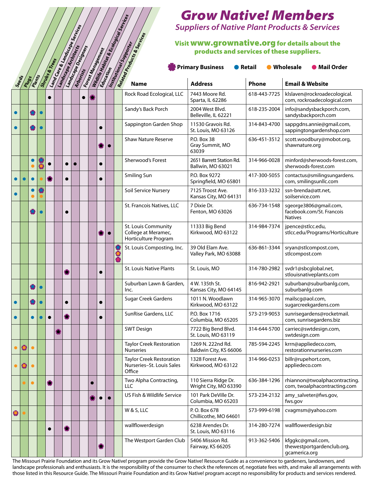#### Visit www.grownative.org for details about the products and services of these suppliers.

|           |                  |           |           |                |                                 |           |                            |           |           |                          |                                                                        | Grow Nativel Memoers                          |              |                                                                       |
|-----------|------------------|-----------|-----------|----------------|---------------------------------|-----------|----------------------------|-----------|-----------|--------------------------|------------------------------------------------------------------------|-----------------------------------------------|--------------|-----------------------------------------------------------------------|
|           |                  |           |           |                |                                 |           |                            |           |           |                          |                                                                        |                                               |              | <b>Suppliers of Native Plant Products &amp; Services</b>              |
|           |                  |           |           |                |                                 |           |                            |           |           |                          |                                                                        | products and services of these suppliers.     |              | Visit WWW.grownative.org for details about the                        |
|           |                  |           |           | Shrubs & Trees | Land Care & Lands Cope Services |           | <b>Landscape Designers</b> |           |           | <b>Forest Management</b> | Readerable Toddies Services<br>Institutional Supporter                 | <b>Primary Business</b><br><b>•</b> Retail    |              | <b>O</b> Mail Order<br>● Wholesale                                    |
|           | See ofs<br>Plugs | Plants    |           |                |                                 |           |                            |           |           |                          |                                                                        | <b>Address</b>                                | Phone        | <b>Email &amp; Website</b>                                            |
|           |                  |           |           |                |                                 |           |                            |           |           |                          | Rock Road Ecological, LLC                                              | 7443 Moore Rd.<br>Sparta, IL 62286            | 618-443-7725 | klslaven@rockroadecological.<br>com, rockroadecological.com           |
| $\bullet$ |                  |           | $\bullet$ |                |                                 |           |                            |           |           |                          | Sandy's Back Porch                                                     | 2004 West Blvd.<br>Belleville, IL 62221       | 618-235-2004 | info@sandysbackporch.com,<br>sandysbackporch.com                      |
|           |                  |           | $\bullet$ |                |                                 |           |                            |           |           |                          | Sappington Garden Shop                                                 | 11530 Gravois Rd.<br>St. Louis, MO 63126      | 314-843-4700 | sappgdns.annie@gmail.com,<br>sappingtongardenshop.com                 |
|           |                  |           |           |                |                                 |           |                            |           | $\bullet$ |                          | <b>Shaw Nature Reserve</b>                                             | P.O. Box 38<br>Gray Summit, MO<br>63039       | 636-451-3512 | scott.woodbury@mobot.org,<br>shawnature.org                           |
|           |                  |           |           |                |                                 |           |                            |           |           |                          | Sherwood's Forest                                                      | 2651 Barrett Station Rd.<br>Ballwin, MO 63021 | 314-966-0028 | minford@sherwoods-forest.com,<br>sherwoods-forest.com                 |
|           |                  |           |           |                |                                 | $\bullet$ |                            |           |           |                          | Smiling Sun                                                            | P.O. Box 9272<br>Springfield, MO 65801        | 417-300-5055 | contactus@smilingsungardens.<br>com, smilingsunllc.com                |
|           |                  |           |           |                |                                 |           |                            |           |           |                          | Soil Service Nursery                                                   | 7125 Troost Ave.<br>Kansas City, MO 64131     | 816-333-3232 | ssn-brenda@att.net,<br>soilservice.com                                |
|           |                  |           | $\bullet$ |                |                                 | $\bullet$ |                            |           |           |                          | St. Francois Natives, LLC                                              | 7 Dixie Dr.<br>Fenton, MO 63026               | 636-734-1548 | sgeorge3806@gmail.com,<br>facebook.com/St. Francois<br><b>Natives</b> |
|           |                  |           |           |                |                                 |           |                            |           | $\bullet$ |                          | St. Louis Community<br>College at Meramec,<br>Horticulture Program     | 11333 Big Bend<br>Kirkwood, MO 63122          | 314-984-7374 | jpence@stlcc.edu,<br>stlcc.edu/Programs/Horticulture                  |
|           |                  |           |           |                |                                 |           |                            |           |           |                          | St. Louis Composting, Inc.                                             | 39 Old Elam Ave.<br>Valley Park, MO 63088     | 636-861-3344 | sryan@stlcompost.com,<br>stlcompost.com                               |
|           |                  |           |           |                |                                 | æ         |                            |           |           |                          | <b>St. Louis Native Plants</b>                                         | St. Louis, MO                                 | 314-780-2982 | svdr1@sbcglobal.net,<br>stlouisnativeplants.com                       |
|           |                  |           |           |                |                                 |           |                            |           |           |                          | Suburban Lawn & Garden,<br>Inc.                                        | 4 W. 135th St.<br>Kansas City, MO 64145       | 816-942-2921 | suburban@suburbanlg.com,<br>suburbanlg.com                            |
| $\bullet$ |                  |           |           |                |                                 |           |                            | $\bullet$ |           |                          | Sugar Creek Gardens                                                    | 1011 N. Woodlawn<br>Kirkwood, MO 63122        | 314-965-3070 | mailscg@aol.com,<br>sugarcreekgardens.com                             |
| $\bullet$ |                  | $\bullet$ |           |                |                                 | ₩         |                            | $\bullet$ |           |                          | SunRise Gardens, LLC                                                   | P.O. Box 1716<br>Columbia, MO 65205           | 573-219-9053 | sunrisegardens@rocketmail.<br>com, sunrisegardens.biz                 |
|           |                  |           |           |                |                                 |           |                            |           |           |                          | <b>SWT Design</b>                                                      | 7722 Big Bend Blvd.<br>St. Louis, MO 63119    | 314-644-5700 | carriec@swtdesign.com,<br>swtdesign.com                               |
|           | ٥                |           |           |                |                                 |           |                            |           |           |                          | <b>Taylor Creek Restoration</b><br><b>Nurseries</b>                    | 1269 N. 222nd Rd.<br>Baldwin City, KS 66006   | 785-594-2245 | krrn@appliedeco.com,<br>restorationnurseries.com                      |
|           |                  |           |           |                |                                 |           |                            |           |           |                          | <b>Taylor Creek Restoration</b><br>Nurseries-St. Louis Sales<br>Office | 1328 Forest Ave.<br>Kirkwood, MO 63122        | 314-966-0253 | billr@rupehort.com,<br>appliedeco.com                                 |
|           |                  | $\bullet$ |           | 卷              |                                 |           |                            |           |           |                          | Two Alpha Contracting,<br><b>LLC</b>                                   | 110 Sierra Ridge Dr.<br>Wright City, MO 63390 | 636-384-1296 | rhiannon@twoalphacontracting.<br>com, twoalphacontracting.com         |
|           |                  |           |           |                |                                 |           |                            |           | $\bullet$ |                          | US Fish & Wildlife Service                                             | 101 Park DeVille Dr.<br>Columbia, MO 65203    | 573-234-2132 | amy_salveter@fws.gov,<br>fws.gov                                      |
| $\bullet$ |                  |           |           |                |                                 |           |                            |           |           |                          | W & S, LLC                                                             | P.O. Box 678<br>Chillicothe, MO 64601         | 573-999-6198 | cvagmsm@yahoo.com                                                     |
|           |                  |           |           |                |                                 | a,        |                            |           |           |                          | wallflowerdesign                                                       | 6238 Arendes Dr.<br>St. Louis, MO 63116       | 314-280-7274 | wallflowerdesign.biz                                                  |
|           |                  |           |           |                |                                 |           |                            |           |           |                          | The Westport Garden Club                                               | 5406 Mission Rd.<br>Fairway, KS 66205         | 913-362-5406 | kfggkc@gmail.com,<br>thewestportgardenclub.org,<br>gcamerica.org      |

The Missouri Prairie Foundation and its Grow Native! program provide the Grow Native! Resource Guide as a convenience to gardeners, landowners, and landscape professionals and enthusiasts. It is the responsibility of the consumer to check the references of, negotiate fees with, and make all arrangements with those listed in this Resource Guide. The Missouri Prairie Foundation and its Grow Native! program accept no responsibility for products and services rendered.